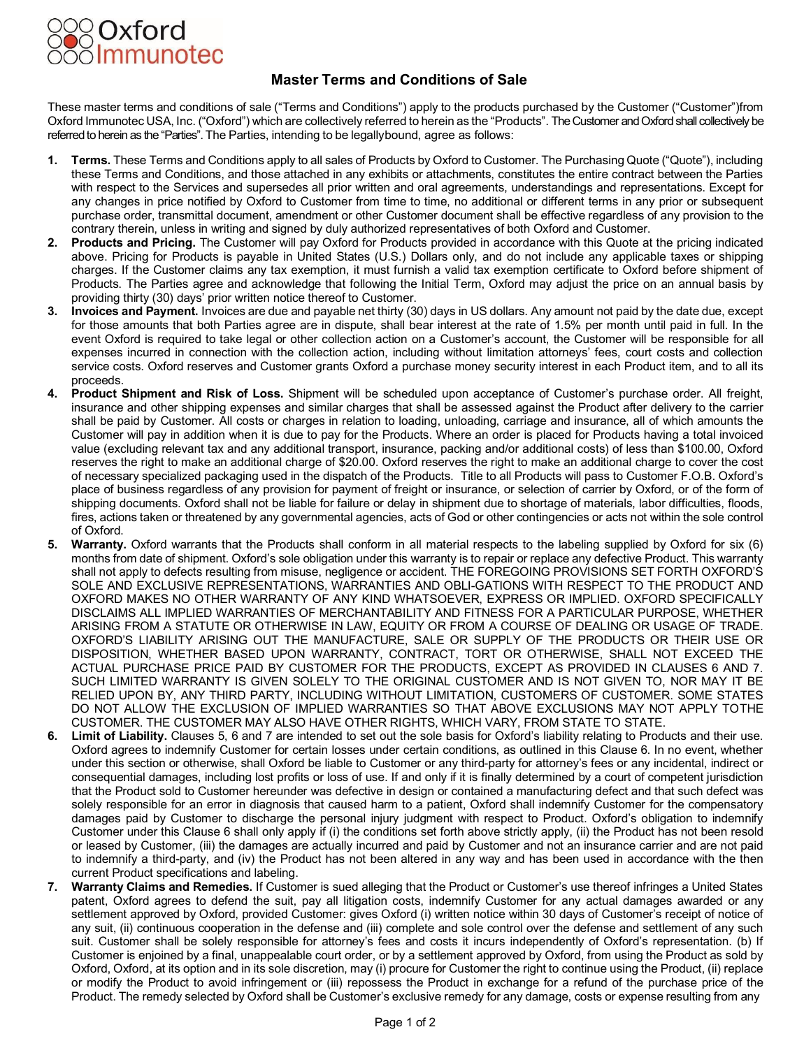

## **Master Terms and Conditions of Sale**

These master terms and conditions of sale ("Terms and Conditions") apply to the products purchased by the Customer ("Customer")from Oxford Immunotec USA, Inc. ("Oxford") which are collectively referred to herein as the "Products". The Customer and Oxford shall collectively be referred to herein as the "Parties". The Parties, intending to be legallybound, agree as follows:

- **Terms.** These Terms and Conditions apply to all sales of Products by Oxford to Customer. The Purchasing Quote ("Quote"), including these Terms and Conditions, and those attached in any exhibits or attachments, constitutes the entire contract between the Parties with respect to the Services and supersedes all prior written and oral agreements, understandings and representations. Except for any changes in price notified by Oxford to Customer from time to time, no additional or different terms in any prior or subsequent purchase order, transmittal document, amendment or other Customer document shall be effective regardless of any provision to the contrary therein, unless in writing and signed by duly authorized representatives of both Oxford and Customer.
- **2. Products and Pricing.** The Customer will pay Oxford for Products provided in accordance with this Quote at the pricing indicated above. Pricing for Products is payable in United States (U.S.) Dollars only, and do not include any applicable taxes or shipping charges. If the Customer claims any tax exemption, it must furnish a valid tax exemption certificate to Oxford before shipment of Products. The Parties agree and acknowledge that following the Initial Term, Oxford may adjust the price on an annual basis by providing thirty (30) days' prior written notice thereof to Customer.
- **3. Invoices and Payment.** Invoices are due and payable net thirty (30) days in US dollars. Any amount not paid by the date due, except for those amounts that both Parties agree are in dispute, shall bear interest at the rate of 1.5% per month until paid in full. In the event Oxford is required to take legal or other collection action on a Customer's account, the Customer will be responsible for all expenses incurred in connection with the collection action, including without limitation attorneys' fees, court costs and collection service costs. Oxford reserves and Customer grants Oxford a purchase money security interest in each Product item, and to all its proceeds.
- **4. Product Shipment and Risk of Loss.** Shipment will be scheduled upon acceptance of Customer's purchase order. All freight, insurance and other shipping expenses and similar charges that shall be assessed against the Product after delivery to the carrier shall be paid by Customer. All costs or charges in relation to loading, unloading, carriage and insurance, all of which amounts the Customer will pay in addition when it is due to pay for the Products. Where an order is placed for Products having a total invoiced value (excluding relevant tax and any additional transport, insurance, packing and/or additional costs) of less than \$100.00, Oxford reserves the right to make an additional charge of \$20.00. Oxford reserves the right to make an additional charge to cover the cost of necessary specialized packaging used in the dispatch of the Products. Title to all Products will pass to Customer F.O.B. Oxford's place of business regardless of any provision for payment of freight or insurance, or selection of carrier by Oxford, or of the form of shipping documents. Oxford shall not be liable for failure or delay in shipment due to shortage of materials, labor difficulties, floods, fires, actions taken or threatened by any governmental agencies, acts of God or other contingencies or acts not within the sole control of Oxford.
- **5. Warranty.** Oxford warrants that the Products shall conform in all material respects to the labeling supplied by Oxford for six (6) months from date of shipment. Oxford's sole obligation under this warranty is to repair or replace any defective Product. This warranty shall not apply to defects resulting from misuse, negligence or accident. THE FOREGOING PROVISIONS SET FORTH OXFORD'S SOLE AND EXCLUSIVE REPRESENTATIONS, WARRANTIES AND OBLI-GATIONS WITH RESPECT TO THE PRODUCT AND OXFORD MAKES NO OTHER WARRANTY OF ANY KIND WHATSOEVER, EXPRESS OR IMPLIED. OXFORD SPECIFICALLY DISCLAIMS ALL IMPLIED WARRANTIES OF MERCHANTABILITY AND FITNESS FOR A PARTICULAR PURPOSE, WHETHER ARISING FROM A STATUTE OR OTHERWISE IN LAW, EQUITY OR FROM A COURSE OF DEALING OR USAGE OF TRADE. OXFORD'S LIABILITY ARISING OUT THE MANUFACTURE, SALE OR SUPPLY OF THE PRODUCTS OR THEIR USE OR DISPOSITION, WHETHER BASED UPON WARRANTY, CONTRACT, TORT OR OTHERWISE, SHALL NOT EXCEED THE ACTUAL PURCHASE PRICE PAID BY CUSTOMER FOR THE PRODUCTS, EXCEPT AS PROVIDED IN CLAUSES 6 AND 7. SUCH LIMITED WARRANTY IS GIVEN SOLELY TO THE ORIGINAL CUSTOMER AND IS NOT GIVEN TO, NOR MAY IT BE RELIED UPON BY, ANY THIRD PARTY, INCLUDING WITHOUT LIMITATION, CUSTOMERS OF CUSTOMER. SOME STATES DO NOT ALLOW THE EXCLUSION OF IMPLIED WARRANTIES SO THAT ABOVE EXCLUSIONS MAY NOT APPLY TOTHE CUSTOMER. THE CUSTOMER MAY ALSO HAVE OTHER RIGHTS, WHICH VARY, FROM STATE TO STATE.
- **6. Limit of Liability.** Clauses 5, 6 and 7 are intended to set out the sole basis for Oxford's liability relating to Products and their use. Oxford agrees to indemnify Customer for certain losses under certain conditions, as outlined in this Clause 6. In no event, whether under this section or otherwise, shall Oxford be liable to Customer or any third-party for attorney's fees or any incidental, indirect or consequential damages, including lost profits or loss of use. If and only if it is finally determined by a court of competent jurisdiction that the Product sold to Customer hereunder was defective in design or contained a manufacturing defect and that such defect was solely responsible for an error in diagnosis that caused harm to a patient, Oxford shall indemnify Customer for the compensatory damages paid by Customer to discharge the personal injury judgment with respect to Product. Oxford's obligation to indemnify Customer under this Clause 6 shall only apply if (i) the conditions set forth above strictly apply, (ii) the Product has not been resold or leased by Customer, (iii) the damages are actually incurred and paid by Customer and not an insurance carrier and are not paid to indemnify a third-party, and (iv) the Product has not been altered in any way and has been used in accordance with the then current Product specifications and labeling.
- **7. Warranty Claims and Remedies.** If Customer is sued alleging that the Product or Customer's use thereof infringes a United States patent, Oxford agrees to defend the suit, pay all litigation costs, indemnify Customer for any actual damages awarded or any settlement approved by Oxford, provided Customer: gives Oxford (i) written notice within 30 days of Customer's receipt of notice of any suit, (ii) continuous cooperation in the defense and (iii) complete and sole control over the defense and settlement of any such suit. Customer shall be solely responsible for attorney's fees and costs it incurs independently of Oxford's representation. (b) If Customer is enjoined by a final, unappealable court order, or by a settlement approved by Oxford, from using the Product as sold by Oxford, Oxford, at its option and in its sole discretion, may (i) procure for Customer the right to continue using the Product, (ii) replace or modify the Product to avoid infringement or (iii) repossess the Product in exchange for a refund of the purchase price of the Product. The remedy selected by Oxford shall be Customer's exclusive remedy for any damage, costs or expense resulting from any